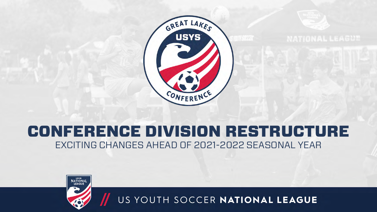

**NATIONAL LEAGUE** 

#### CONFERENCE DIVISION RESTRUCTURE EXCITING CHANGES AHEAD OF 2021-2022 SEASONAL YEAR

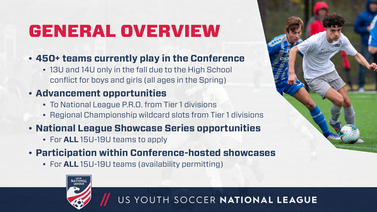## GENERAL OVERVIEW

#### • **450+ teams currently play in the Conference**

• 13U and 14U only in the fall due to the High School conflict for boys and girls (all ages in the Spring)

#### • **Advancement opportunities**

- To National League P.R.O. from Tier 1 divisions
- Regional Championship wildcard slots from Tier 1 divisions

#### • **National League Showcase Series opportunities**

• For **ALL** 15U-19U teams to apply

**ATIONA** 

#### • **Participation within Conference-hosted showcases**

• For **ALL** 15U-19U teams (availability permitting)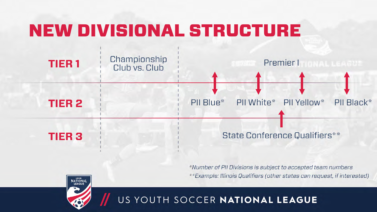# NEW DIVISIONAL STRUCTURE



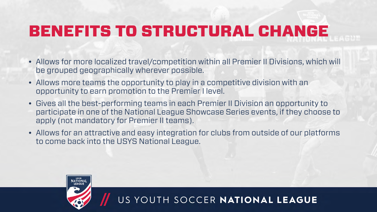## BENEFITS TO STRUCTURAL CHANGE

- Allows for more localized travel/competition within all Premier II Divisions, which will be grouped geographically wherever possible.
- Allows more teams the opportunity to play in a competitive division with an opportunity to earn promotion to the Premier I level.
- Gives all the best-performing teams in each Premier II Division an opportunity to participate in one of the National League Showcase Series events, if they choose to apply (not mandatory for Premier II teams).
- Allows for an attractive and easy integration for clubs from outside of our platforms to come back into the USYS National League.

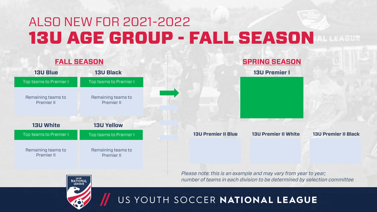### ALSO NEW FOR 2021-2022 13U AGE GROUP - FALL SEASON

#### **13U Premier II Blue 13U Premier II White 13U Premier II Black 13U Blue 13U White 13U Black 13U Yellow FALL SEASON SPRING SEASON 13U Premier I** Top teams to Premier I Remaining teams to Premier II Top teams to Premier I Remaining teams to Premier II Top teams to Premier I Remaining teams to Premier II Top teams to Premier I Remaining teams to Premier II

*Please note: this is an example and may vary from year to year; number of teams in each division to be determined by selection committee*

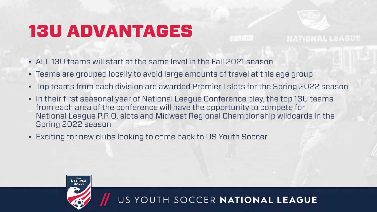## 13U ADVANTAGES

- ALL 13U teams will start at the same level in the Fall 2021 season
- Teams are grouped locally to avoid large amounts of travel at this age group
- Top teams from each division are awarded Premier I slots for the Spring 2022 season
- In their first seasonal year of National League Conference play, the top 13U teams from each area of the conference will have the opportunity to compete for National League P.R.O. slots and Midwest Regional Championship wildcards in the Spring 2022 season
- Exciting for new clubs looking to come back to US Youth Soccer



US YOUTH SOCCER NATIONAL LEAGUE

**NATIONAL LEAGUE**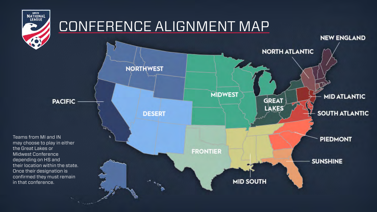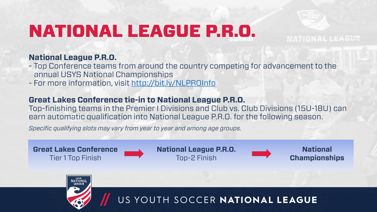# NATIONAL LEAGUE P.R.O.

#### **National League P.R.O.**

- Top Conference teams from around the country competing for advancement to the annual USYS National Championships
- For more information, visit<http://bit.ly/NLPROInfo>

#### **Great Lakes Conference tie-in to National League P.R.O.**

Top-finishing teams in the Premier I Divisions and Club vs. Club Divisions (15U-18U) can earn automatic qualification into National League P.R.O. for the following season.

*Specific qualifying slots may vary from year to year and among age groups.*





**NATIONAL LEAGUE**